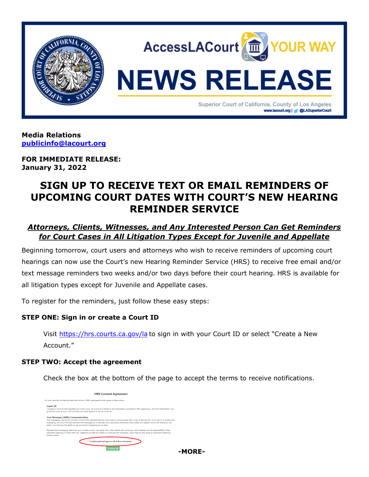

**Media Relations [publicinfo@lacourt.org](mailto:publicinfo@lacourt.org)**

**FOR IMMEDIATE RELEASE: January 31, 2022**

# **SIGN UP TO RECEIVE TEXT OR EMAIL REMINDERS OF UPCOMING COURT DATES WITH COURT'S NEW HEARING REMINDER SERVICE**

## *Attorneys, Clients, Witnesses, and Any Interested Person Can Get Reminders for Court Cases in All Litigation Types Except for Juvenile and Appellate*

Beginning tomorrow, court users and attorneys who wish to receive reminders of upcoming court hearings can now use the Court's new Hearing Reminder Service (HRS) to receive free email and/or text message reminders two weeks and/or two days before their court hearing. HRS is available for all litigation types except for Juvenile and Appellate cases.

To register for the reminders, just follow these easy steps:

### **STEP ONE: Sign in or create a Court ID**

Visit<https://hrs.courts.ca.gov/la> to sign in with your Court ID or select "Create a New Account."

#### **STEP TWO: Accept the agreement**

Check the box at the bottom of the page to accept the terms to receive notifications.